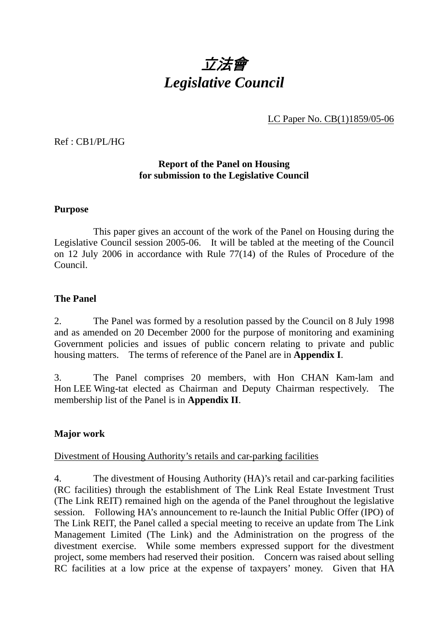

LC Paper No. CB(1)1859/05-06

Ref : CB1/PL/HG

#### **Report of the Panel on Housing for submission to the Legislative Council**

#### **Purpose**

 This paper gives an account of the work of the Panel on Housing during the Legislative Council session 2005-06. It will be tabled at the meeting of the Council on 12 July 2006 in accordance with Rule 77(14) of the Rules of Procedure of the Council.

#### **The Panel**

2. The Panel was formed by a resolution passed by the Council on 8 July 1998 and as amended on 20 December 2000 for the purpose of monitoring and examining Government policies and issues of public concern relating to private and public housing matters. The terms of reference of the Panel are in **Appendix I**.

3. The Panel comprises 20 members, with Hon CHAN Kam-lam and Hon LEE Wing-tat elected as Chairman and Deputy Chairman respectively. The membership list of the Panel is in **Appendix II**.

#### **Major work**

#### Divestment of Housing Authority's retails and car-parking facilities

4. The divestment of Housing Authority (HA)'s retail and car-parking facilities (RC facilities) through the establishment of The Link Real Estate Investment Trust (The Link REIT) remained high on the agenda of the Panel throughout the legislative session. Following HA's announcement to re-launch the Initial Public Offer (IPO) of The Link REIT, the Panel called a special meeting to receive an update from The Link Management Limited (The Link) and the Administration on the progress of the divestment exercise. While some members expressed support for the divestment project, some members had reserved their position. Concern was raised about selling RC facilities at a low price at the expense of taxpayers' money. Given that HA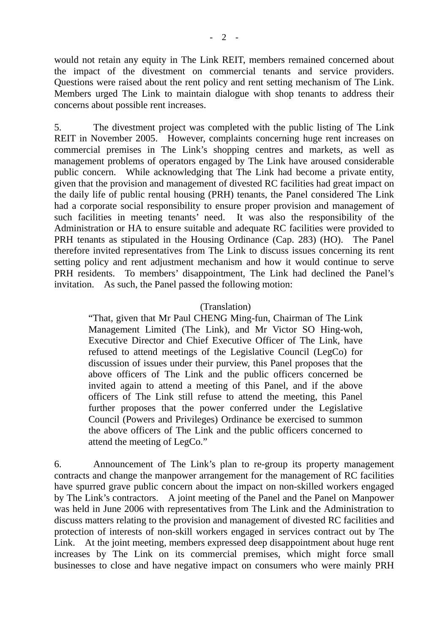would not retain any equity in The Link REIT, members remained concerned about the impact of the divestment on commercial tenants and service providers. Questions were raised about the rent policy and rent setting mechanism of The Link. Members urged The Link to maintain dialogue with shop tenants to address their concerns about possible rent increases.

5. The divestment project was completed with the public listing of The Link REIT in November 2005. However, complaints concerning huge rent increases on commercial premises in The Link's shopping centres and markets, as well as management problems of operators engaged by The Link have aroused considerable public concern. While acknowledging that The Link had become a private entity, given that the provision and management of divested RC facilities had great impact on the daily life of public rental housing (PRH) tenants, the Panel considered The Link had a corporate social responsibility to ensure proper provision and management of such facilities in meeting tenants' need. It was also the responsibility of the Administration or HA to ensure suitable and adequate RC facilities were provided to PRH tenants as stipulated in the Housing Ordinance (Cap. 283) (HO). The Panel therefore invited representatives from The Link to discuss issues concerning its rent setting policy and rent adjustment mechanism and how it would continue to serve PRH residents. To members' disappointment, The Link had declined the Panel's invitation. As such, the Panel passed the following motion:

#### (Translation)

"That, given that Mr Paul CHENG Ming-fun, Chairman of The Link Management Limited (The Link), and Mr Victor SO Hing-woh, Executive Director and Chief Executive Officer of The Link, have refused to attend meetings of the Legislative Council (LegCo) for discussion of issues under their purview, this Panel proposes that the above officers of The Link and the public officers concerned be invited again to attend a meeting of this Panel, and if the above officers of The Link still refuse to attend the meeting, this Panel further proposes that the power conferred under the Legislative Council (Powers and Privileges) Ordinance be exercised to summon the above officers of The Link and the public officers concerned to attend the meeting of LegCo."

6. Announcement of The Link's plan to re-group its property management contracts and change the manpower arrangement for the management of RC facilities have spurred grave public concern about the impact on non-skilled workers engaged by The Link's contractors. A joint meeting of the Panel and the Panel on Manpower was held in June 2006 with representatives from The Link and the Administration to discuss matters relating to the provision and management of divested RC facilities and protection of interests of non-skill workers engaged in services contract out by The Link. At the joint meeting, members expressed deep disappointment about huge rent increases by The Link on its commercial premises, which might force small businesses to close and have negative impact on consumers who were mainly PRH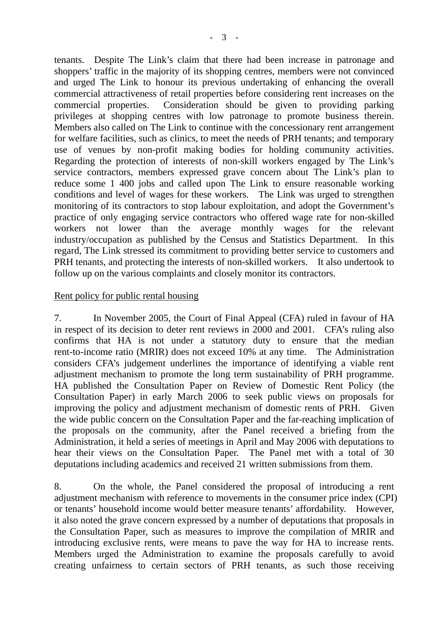tenants. Despite The Link's claim that there had been increase in patronage and shoppers' traffic in the majority of its shopping centres, members were not convinced and urged The Link to honour its previous undertaking of enhancing the overall commercial attractiveness of retail properties before considering rent increases on the commercial properties. Consideration should be given to providing parking privileges at shopping centres with low patronage to promote business therein. Members also called on The Link to continue with the concessionary rent arrangement for welfare facilities, such as clinics, to meet the needs of PRH tenants; and temporary use of venues by non-profit making bodies for holding community activities. Regarding the protection of interests of non-skill workers engaged by The Link's service contractors, members expressed grave concern about The Link's plan to reduce some 1 400 jobs and called upon The Link to ensure reasonable working conditions and level of wages for these workers. The Link was urged to strengthen monitoring of its contractors to stop labour exploitation, and adopt the Government's practice of only engaging service contractors who offered wage rate for non-skilled workers not lower than the average monthly wages for the relevant industry/occupation as published by the Census and Statistics Department. In this regard, The Link stressed its commitment to providing better service to customers and PRH tenants, and protecting the interests of non-skilled workers. It also undertook to follow up on the various complaints and closely monitor its contractors.

#### Rent policy for public rental housing

7. In November 2005, the Court of Final Appeal (CFA) ruled in favour of HA in respect of its decision to deter rent reviews in 2000 and 2001. CFA's ruling also confirms that HA is not under a statutory duty to ensure that the median rent-to-income ratio (MRIR) does not exceed 10% at any time. The Administration considers CFA's judgement underlines the importance of identifying a viable rent adjustment mechanism to promote the long term sustainability of PRH programme. HA published the Consultation Paper on Review of Domestic Rent Policy (the Consultation Paper) in early March 2006 to seek public views on proposals for improving the policy and adjustment mechanism of domestic rents of PRH. Given the wide public concern on the Consultation Paper and the far-reaching implication of the proposals on the community, after the Panel received a briefing from the Administration, it held a series of meetings in April and May 2006 with deputations to hear their views on the Consultation Paper. The Panel met with a total of 30 deputations including academics and received 21 written submissions from them.

8. On the whole, the Panel considered the proposal of introducing a rent adjustment mechanism with reference to movements in the consumer price index (CPI) or tenants' household income would better measure tenants' affordability. However, it also noted the grave concern expressed by a number of deputations that proposals in the Consultation Paper, such as measures to improve the compilation of MRIR and introducing exclusive rents, were means to pave the way for HA to increase rents. Members urged the Administration to examine the proposals carefully to avoid creating unfairness to certain sectors of PRH tenants, as such those receiving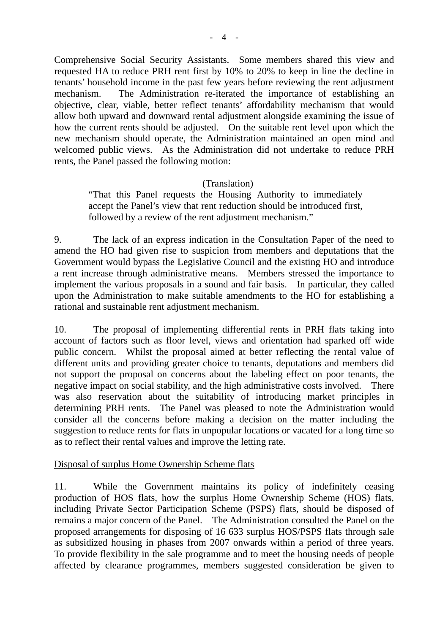Comprehensive Social Security Assistants. Some members shared this view and requested HA to reduce PRH rent first by 10% to 20% to keep in line the decline in tenants' household income in the past few years before reviewing the rent adjustment mechanism. The Administration re-iterated the importance of establishing an objective, clear, viable, better reflect tenants' affordability mechanism that would allow both upward and downward rental adjustment alongside examining the issue of how the current rents should be adjusted. On the suitable rent level upon which the new mechanism should operate, the Administration maintained an open mind and welcomed public views. As the Administration did not undertake to reduce PRH rents, the Panel passed the following motion:

#### (Translation)

"That this Panel requests the Housing Authority to immediately accept the Panel's view that rent reduction should be introduced first, followed by a review of the rent adjustment mechanism."

9. The lack of an express indication in the Consultation Paper of the need to amend the HO had given rise to suspicion from members and deputations that the Government would bypass the Legislative Council and the existing HO and introduce a rent increase through administrative means. Members stressed the importance to implement the various proposals in a sound and fair basis. In particular, they called upon the Administration to make suitable amendments to the HO for establishing a rational and sustainable rent adjustment mechanism.

10. The proposal of implementing differential rents in PRH flats taking into account of factors such as floor level, views and orientation had sparked off wide public concern. Whilst the proposal aimed at better reflecting the rental value of different units and providing greater choice to tenants, deputations and members did not support the proposal on concerns about the labeling effect on poor tenants, the negative impact on social stability, and the high administrative costs involved. There was also reservation about the suitability of introducing market principles in determining PRH rents. The Panel was pleased to note the Administration would consider all the concerns before making a decision on the matter including the suggestion to reduce rents for flats in unpopular locations or vacated for a long time so as to reflect their rental values and improve the letting rate.

#### Disposal of surplus Home Ownership Scheme flats

11. While the Government maintains its policy of indefinitely ceasing production of HOS flats, how the surplus Home Ownership Scheme (HOS) flats, including Private Sector Participation Scheme (PSPS) flats, should be disposed of remains a major concern of the Panel. The Administration consulted the Panel on the proposed arrangements for disposing of 16 633 surplus HOS/PSPS flats through sale as subsidized housing in phases from 2007 onwards within a period of three years. To provide flexibility in the sale programme and to meet the housing needs of people affected by clearance programmes, members suggested consideration be given to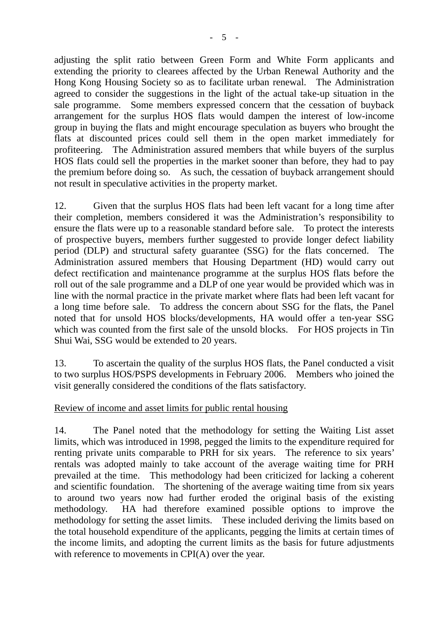adjusting the split ratio between Green Form and White Form applicants and extending the priority to clearees affected by the Urban Renewal Authority and the Hong Kong Housing Society so as to facilitate urban renewal. The Administration agreed to consider the suggestions in the light of the actual take-up situation in the sale programme. Some members expressed concern that the cessation of buyback arrangement for the surplus HOS flats would dampen the interest of low-income group in buying the flats and might encourage speculation as buyers who brought the flats at discounted prices could sell them in the open market immediately for profiteering. The Administration assured members that while buyers of the surplus HOS flats could sell the properties in the market sooner than before, they had to pay the premium before doing so. As such, the cessation of buyback arrangement should not result in speculative activities in the property market.

12. Given that the surplus HOS flats had been left vacant for a long time after their completion, members considered it was the Administration's responsibility to ensure the flats were up to a reasonable standard before sale. To protect the interests of prospective buyers, members further suggested to provide longer defect liability period (DLP) and structural safety guarantee (SSG) for the flats concerned. The Administration assured members that Housing Department (HD) would carry out defect rectification and maintenance programme at the surplus HOS flats before the roll out of the sale programme and a DLP of one year would be provided which was in line with the normal practice in the private market where flats had been left vacant for a long time before sale. To address the concern about SSG for the flats, the Panel noted that for unsold HOS blocks/developments, HA would offer a ten-year SSG which was counted from the first sale of the unsold blocks. For HOS projects in Tin Shui Wai, SSG would be extended to 20 years.

13. To ascertain the quality of the surplus HOS flats, the Panel conducted a visit to two surplus HOS/PSPS developments in February 2006. Members who joined the visit generally considered the conditions of the flats satisfactory.

#### Review of income and asset limits for public rental housing

14. The Panel noted that the methodology for setting the Waiting List asset limits, which was introduced in 1998, pegged the limits to the expenditure required for renting private units comparable to PRH for six years. The reference to six years' rentals was adopted mainly to take account of the average waiting time for PRH prevailed at the time. This methodology had been criticized for lacking a coherent and scientific foundation. The shortening of the average waiting time from six years to around two years now had further eroded the original basis of the existing methodology. HA had therefore examined possible options to improve the methodology for setting the asset limits. These included deriving the limits based on the total household expenditure of the applicants, pegging the limits at certain times of the income limits, and adopting the current limits as the basis for future adjustments with reference to movements in CPI(A) over the year.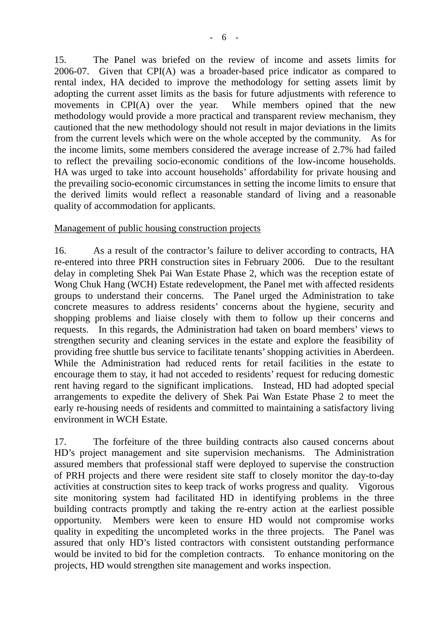15. The Panel was briefed on the review of income and assets limits for 2006-07. Given that CPI(A) was a broader-based price indicator as compared to rental index, HA decided to improve the methodology for setting assets limit by adopting the current asset limits as the basis for future adjustments with reference to movements in CPI(A) over the year. While members opined that the new methodology would provide a more practical and transparent review mechanism, they cautioned that the new methodology should not result in major deviations in the limits from the current levels which were on the whole accepted by the community. As for the income limits, some members considered the average increase of 2.7% had failed to reflect the prevailing socio-economic conditions of the low-income households. HA was urged to take into account households' affordability for private housing and the prevailing socio-economic circumstances in setting the income limits to ensure that the derived limits would reflect a reasonable standard of living and a reasonable quality of accommodation for applicants.

#### Management of public housing construction projects

16. As a result of the contractor's failure to deliver according to contracts, HA re-entered into three PRH construction sites in February 2006. Due to the resultant delay in completing Shek Pai Wan Estate Phase 2, which was the reception estate of Wong Chuk Hang (WCH) Estate redevelopment, the Panel met with affected residents groups to understand their concerns. The Panel urged the Administration to take concrete measures to address residents' concerns about the hygiene, security and shopping problems and liaise closely with them to follow up their concerns and requests. In this regards, the Administration had taken on board members' views to strengthen security and cleaning services in the estate and explore the feasibility of providing free shuttle bus service to facilitate tenants' shopping activities in Aberdeen. While the Administration had reduced rents for retail facilities in the estate to encourage them to stay, it had not acceded to residents' request for reducing domestic rent having regard to the significant implications. Instead, HD had adopted special arrangements to expedite the delivery of Shek Pai Wan Estate Phase 2 to meet the early re-housing needs of residents and committed to maintaining a satisfactory living environment in WCH Estate.

17. The forfeiture of the three building contracts also caused concerns about HD's project management and site supervision mechanisms. The Administration assured members that professional staff were deployed to supervise the construction of PRH projects and there were resident site staff to closely monitor the day-to-day activities at construction sites to keep track of works progress and quality. Vigorous site monitoring system had facilitated HD in identifying problems in the three building contracts promptly and taking the re-entry action at the earliest possible opportunity. Members were keen to ensure HD would not compromise works quality in expediting the uncompleted works in the three projects. The Panel was assured that only HD's listed contractors with consistent outstanding performance would be invited to bid for the completion contracts. To enhance monitoring on the projects, HD would strengthen site management and works inspection.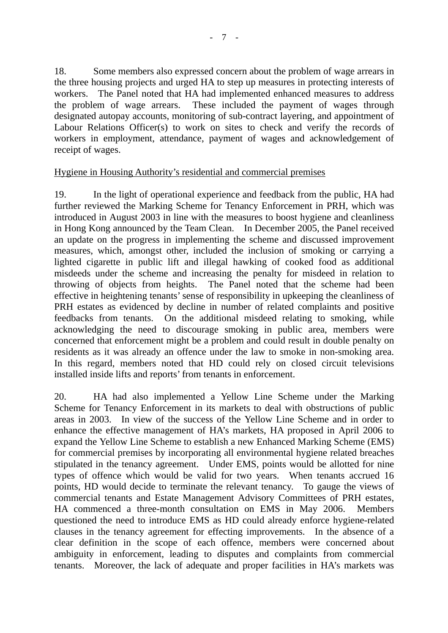18. Some members also expressed concern about the problem of wage arrears in the three housing projects and urged HA to step up measures in protecting interests of workers. The Panel noted that HA had implemented enhanced measures to address the problem of wage arrears. These included the payment of wages through designated autopay accounts, monitoring of sub-contract layering, and appointment of Labour Relations Officer(s) to work on sites to check and verify the records of workers in employment, attendance, payment of wages and acknowledgement of receipt of wages.

#### Hygiene in Housing Authority's residential and commercial premises

19. In the light of operational experience and feedback from the public, HA had further reviewed the Marking Scheme for Tenancy Enforcement in PRH, which was introduced in August 2003 in line with the measures to boost hygiene and cleanliness in Hong Kong announced by the Team Clean. In December 2005, the Panel received an update on the progress in implementing the scheme and discussed improvement measures, which, amongst other, included the inclusion of smoking or carrying a lighted cigarette in public lift and illegal hawking of cooked food as additional misdeeds under the scheme and increasing the penalty for misdeed in relation to throwing of objects from heights. The Panel noted that the scheme had been effective in heightening tenants' sense of responsibility in upkeeping the cleanliness of PRH estates as evidenced by decline in number of related complaints and positive feedbacks from tenants. On the additional misdeed relating to smoking, while acknowledging the need to discourage smoking in public area, members were concerned that enforcement might be a problem and could result in double penalty on residents as it was already an offence under the law to smoke in non-smoking area. In this regard, members noted that HD could rely on closed circuit televisions installed inside lifts and reports' from tenants in enforcement.

20. HA had also implemented a Yellow Line Scheme under the Marking Scheme for Tenancy Enforcement in its markets to deal with obstructions of public areas in 2003. In view of the success of the Yellow Line Scheme and in order to enhance the effective management of HA's markets, HA proposed in April 2006 to expand the Yellow Line Scheme to establish a new Enhanced Marking Scheme (EMS) for commercial premises by incorporating all environmental hygiene related breaches stipulated in the tenancy agreement. Under EMS, points would be allotted for nine types of offence which would be valid for two years. When tenants accrued 16 points, HD would decide to terminate the relevant tenancy. To gauge the views of commercial tenants and Estate Management Advisory Committees of PRH estates, HA commenced a three-month consultation on EMS in May 2006. Members questioned the need to introduce EMS as HD could already enforce hygiene-related clauses in the tenancy agreement for effecting improvements. In the absence of a clear definition in the scope of each offence, members were concerned about ambiguity in enforcement, leading to disputes and complaints from commercial tenants. Moreover, the lack of adequate and proper facilities in HA's markets was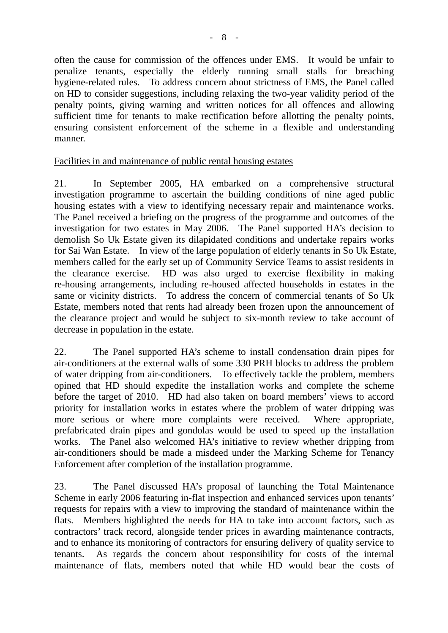often the cause for commission of the offences under EMS. It would be unfair to penalize tenants, especially the elderly running small stalls for breaching hygiene-related rules. To address concern about strictness of EMS, the Panel called on HD to consider suggestions, including relaxing the two-year validity period of the penalty points, giving warning and written notices for all offences and allowing sufficient time for tenants to make rectification before allotting the penalty points, ensuring consistent enforcement of the scheme in a flexible and understanding manner.

#### Facilities in and maintenance of public rental housing estates

21. In September 2005, HA embarked on a comprehensive structural investigation programme to ascertain the building conditions of nine aged public housing estates with a view to identifying necessary repair and maintenance works. The Panel received a briefing on the progress of the programme and outcomes of the investigation for two estates in May 2006. The Panel supported HA's decision to demolish So Uk Estate given its dilapidated conditions and undertake repairs works for Sai Wan Estate. In view of the large population of elderly tenants in So Uk Estate, members called for the early set up of Community Service Teams to assist residents in the clearance exercise. HD was also urged to exercise flexibility in making re-housing arrangements, including re-housed affected households in estates in the same or vicinity districts. To address the concern of commercial tenants of So Uk Estate, members noted that rents had already been frozen upon the announcement of the clearance project and would be subject to six-month review to take account of decrease in population in the estate.

22. The Panel supported HA's scheme to install condensation drain pipes for air-conditioners at the external walls of some 330 PRH blocks to address the problem of water dripping from air-conditioners. To effectively tackle the problem, members opined that HD should expedite the installation works and complete the scheme before the target of 2010. HD had also taken on board members' views to accord priority for installation works in estates where the problem of water dripping was more serious or where more complaints were received. Where appropriate, prefabricated drain pipes and gondolas would be used to speed up the installation works. The Panel also welcomed HA's initiative to review whether dripping from air-conditioners should be made a misdeed under the Marking Scheme for Tenancy Enforcement after completion of the installation programme.

23. The Panel discussed HA's proposal of launching the Total Maintenance Scheme in early 2006 featuring in-flat inspection and enhanced services upon tenants' requests for repairs with a view to improving the standard of maintenance within the flats. Members highlighted the needs for HA to take into account factors, such as contractors' track record, alongside tender prices in awarding maintenance contracts, and to enhance its monitoring of contractors for ensuring delivery of quality service to tenants. As regards the concern about responsibility for costs of the internal maintenance of flats, members noted that while HD would bear the costs of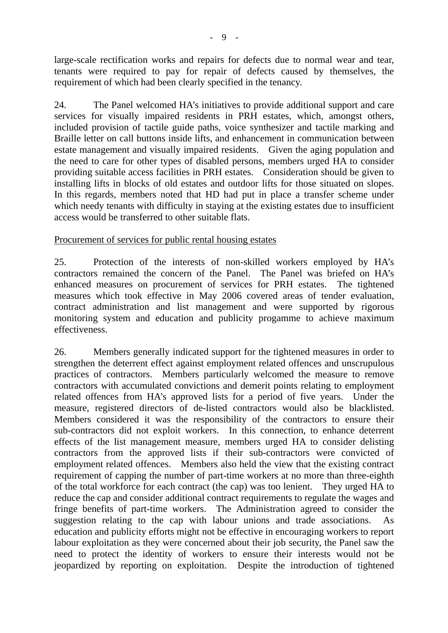large-scale rectification works and repairs for defects due to normal wear and tear, tenants were required to pay for repair of defects caused by themselves, the requirement of which had been clearly specified in the tenancy.

24. The Panel welcomed HA's initiatives to provide additional support and care services for visually impaired residents in PRH estates, which, amongst others, included provision of tactile guide paths, voice synthesizer and tactile marking and Braille letter on call buttons inside lifts, and enhancement in communication between estate management and visually impaired residents. Given the aging population and the need to care for other types of disabled persons, members urged HA to consider providing suitable access facilities in PRH estates. Consideration should be given to installing lifts in blocks of old estates and outdoor lifts for those situated on slopes. In this regards, members noted that HD had put in place a transfer scheme under which needy tenants with difficulty in staying at the existing estates due to insufficient access would be transferred to other suitable flats.

#### Procurement of services for public rental housing estates

25. Protection of the interests of non-skilled workers employed by HA's contractors remained the concern of the Panel. The Panel was briefed on HA's enhanced measures on procurement of services for PRH estates. The tightened measures which took effective in May 2006 covered areas of tender evaluation, contract administration and list management and were supported by rigorous monitoring system and education and publicity progamme to achieve maximum effectiveness.

26. Members generally indicated support for the tightened measures in order to strengthen the deterrent effect against employment related offences and unscrupulous practices of contractors. Members particularly welcomed the measure to remove contractors with accumulated convictions and demerit points relating to employment related offences from HA's approved lists for a period of five years. Under the measure, registered directors of de-listed contractors would also be blacklisted. Members considered it was the responsibility of the contractors to ensure their sub-contractors did not exploit workers. In this connection, to enhance deterrent effects of the list management measure, members urged HA to consider delisting contractors from the approved lists if their sub-contractors were convicted of employment related offences. Members also held the view that the existing contract requirement of capping the number of part-time workers at no more than three-eighth of the total workforce for each contract (the cap) was too lenient. They urged HA to reduce the cap and consider additional contract requirements to regulate the wages and fringe benefits of part-time workers. The Administration agreed to consider the suggestion relating to the cap with labour unions and trade associations. As education and publicity efforts might not be effective in encouraging workers to report labour exploitation as they were concerned about their job security, the Panel saw the need to protect the identity of workers to ensure their interests would not be jeopardized by reporting on exploitation. Despite the introduction of tightened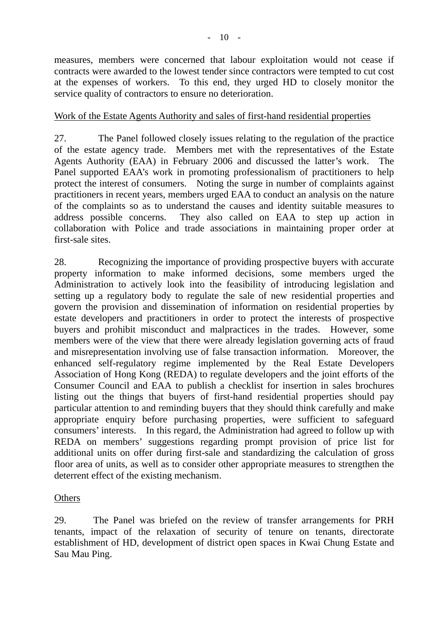measures, members were concerned that labour exploitation would not cease if contracts were awarded to the lowest tender since contractors were tempted to cut cost at the expenses of workers. To this end, they urged HD to closely monitor the service quality of contractors to ensure no deterioration.

#### Work of the Estate Agents Authority and sales of first-hand residential properties

27. The Panel followed closely issues relating to the regulation of the practice of the estate agency trade. Members met with the representatives of the Estate Agents Authority (EAA) in February 2006 and discussed the latter's work. The Panel supported EAA's work in promoting professionalism of practitioners to help protect the interest of consumers. Noting the surge in number of complaints against practitioners in recent years, members urged EAA to conduct an analysis on the nature of the complaints so as to understand the causes and identity suitable measures to address possible concerns. They also called on EAA to step up action in collaboration with Police and trade associations in maintaining proper order at first-sale sites.

28. Recognizing the importance of providing prospective buyers with accurate property information to make informed decisions, some members urged the Administration to actively look into the feasibility of introducing legislation and setting up a regulatory body to regulate the sale of new residential properties and govern the provision and dissemination of information on residential properties by estate developers and practitioners in order to protect the interests of prospective buyers and prohibit misconduct and malpractices in the trades. However, some members were of the view that there were already legislation governing acts of fraud and misrepresentation involving use of false transaction information. Moreover, the enhanced self-regulatory regime implemented by the Real Estate Developers Association of Hong Kong (REDA) to regulate developers and the joint efforts of the Consumer Council and EAA to publish a checklist for insertion in sales brochures listing out the things that buyers of first-hand residential properties should pay particular attention to and reminding buyers that they should think carefully and make appropriate enquiry before purchasing properties, were sufficient to safeguard consumers' interests. In this regard, the Administration had agreed to follow up with REDA on members' suggestions regarding prompt provision of price list for additional units on offer during first-sale and standardizing the calculation of gross floor area of units, as well as to consider other appropriate measures to strengthen the deterrent effect of the existing mechanism.

#### **Others**

29. The Panel was briefed on the review of transfer arrangements for PRH tenants, impact of the relaxation of security of tenure on tenants, directorate establishment of HD, development of district open spaces in Kwai Chung Estate and Sau Mau Ping.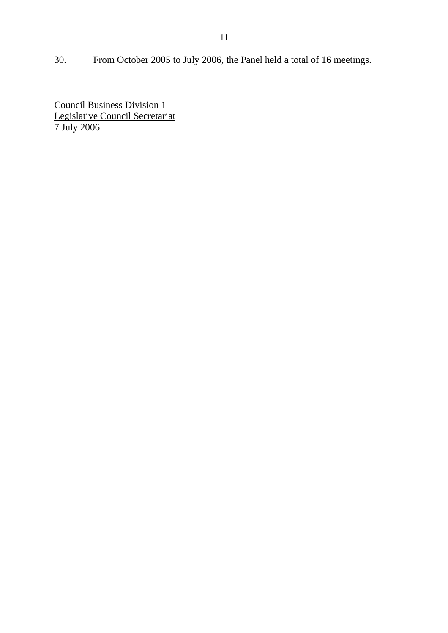- 11 -

30. From October 2005 to July 2006, the Panel held a total of 16 meetings.

Council Business Division 1 Legislative Council Secretariat 7 July 2006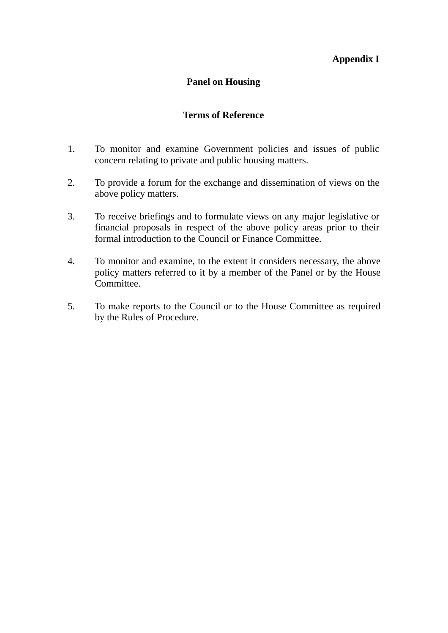### **Appendix I**

#### **Panel on Housing**

#### **Terms of Reference**

- 1. To monitor and examine Government policies and issues of public concern relating to private and public housing matters.
- 2. To provide a forum for the exchange and dissemination of views on the above policy matters.
- 3. To receive briefings and to formulate views on any major legislative or financial proposals in respect of the above policy areas prior to their formal introduction to the Council or Finance Committee.
- 4. To monitor and examine, to the extent it considers necessary, the above policy matters referred to it by a member of the Panel or by the House Committee.
- 5. To make reports to the Council or to the House Committee as required by the Rules of Procedure.